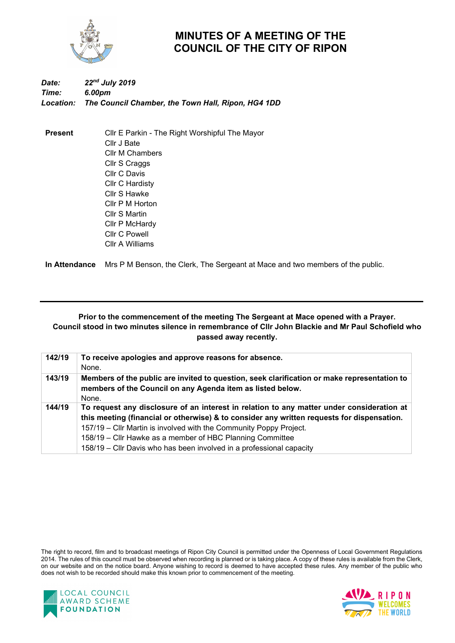

## **MINUTES OF A MEETING OF THE COUNCIL OF THE CITY OF RIPON**

## *Date: 22nd July 2019 Time: 6.00pm Location: The Council Chamber, the Town Hall, Ripon, HG4 1DD*

**Present** Cllr E Parkin - The Right Worshipful The Mayor Cllr J Bate Cllr M Chambers Cllr S Craggs Cllr C Davis Cllr C Hardisty Cllr S Hawke Cllr P M Horton Cllr S Martin Cllr P McHardy Cllr C Powell Cllr A Williams

**In Attendance** Mrs P M Benson, the Clerk, The Sergeant at Mace and two members of the public.

## **Prior to the commencement of the meeting The Sergeant at Mace opened with a Prayer. Council stood in two minutes silence in remembrance of Cllr John Blackie and Mr Paul Schofield who passed away recently.**

| 142/19 | To receive apologies and approve reasons for absence.                                       |
|--------|---------------------------------------------------------------------------------------------|
|        | None.                                                                                       |
| 143/19 | Members of the public are invited to question, seek clarification or make representation to |
|        | members of the Council on any Agenda item as listed below.                                  |
|        | None.                                                                                       |
| 144/19 | To request any disclosure of an interest in relation to any matter under consideration at   |
|        | this meeting (financial or otherwise) & to consider any written requests for dispensation.  |
|        | 157/19 – Cllr Martin is involved with the Community Poppy Project.                          |
|        | 158/19 – Cllr Hawke as a member of HBC Planning Committee                                   |
|        | 158/19 – Cllr Davis who has been involved in a professional capacity                        |

The right to record, film and to broadcast meetings of Ripon City Council is permitted under the Openness of Local Government Regulations 2014. The rules of this council must be observed when recording is planned or is taking place. A copy of these rules is available from the Clerk, on our website and on the notice board. Anyone wishing to record is deemed to have accepted these rules. Any member of the public who does not wish to be recorded should make this known prior to commencement of the meeting.



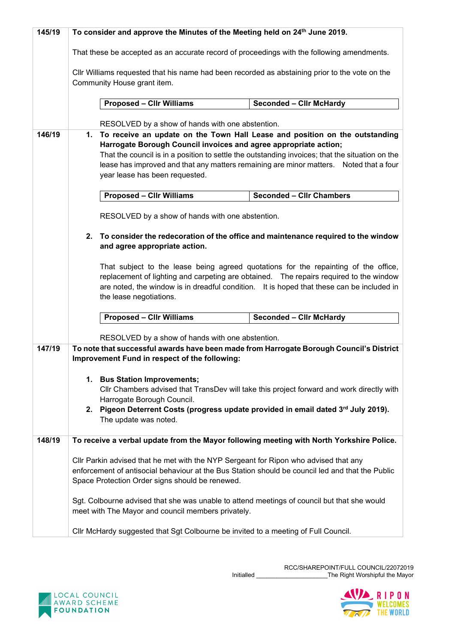| 145/19 | To consider and approve the Minutes of the Meeting held on 24 <sup>th</sup> June 2019.                                                                                                                                                                                                                 |  |  |  |
|--------|--------------------------------------------------------------------------------------------------------------------------------------------------------------------------------------------------------------------------------------------------------------------------------------------------------|--|--|--|
|        | That these be accepted as an accurate record of proceedings with the following amendments.                                                                                                                                                                                                             |  |  |  |
|        | CIIr Williams requested that his name had been recorded as abstaining prior to the vote on the<br>Community House grant item.                                                                                                                                                                          |  |  |  |
|        | <b>Proposed - Cllr Williams</b><br><b>Seconded - Clir McHardy</b>                                                                                                                                                                                                                                      |  |  |  |
|        | RESOLVED by a show of hands with one abstention.                                                                                                                                                                                                                                                       |  |  |  |
| 146/19 | To receive an update on the Town Hall Lease and position on the outstanding<br>1.<br>Harrogate Borough Council invoices and agree appropriate action;                                                                                                                                                  |  |  |  |
|        | That the council is in a position to settle the outstanding invoices; that the situation on the                                                                                                                                                                                                        |  |  |  |
|        | lease has improved and that any matters remaining are minor matters.  Noted that a four<br>year lease has been requested.                                                                                                                                                                              |  |  |  |
|        | <b>Seconded - Cllr Chambers</b><br><b>Proposed - Cllr Williams</b>                                                                                                                                                                                                                                     |  |  |  |
|        | RESOLVED by a show of hands with one abstention.                                                                                                                                                                                                                                                       |  |  |  |
|        | 2. To consider the redecoration of the office and maintenance required to the window<br>and agree appropriate action.                                                                                                                                                                                  |  |  |  |
|        | That subject to the lease being agreed quotations for the repainting of the office,<br>replacement of lighting and carpeting are obtained.  The repairs required to the window<br>are noted, the window is in dreadful condition. It is hoped that these can be included in<br>the lease negotiations. |  |  |  |
|        | <b>Proposed - Cllr Williams</b><br><b>Seconded - Clir McHardy</b>                                                                                                                                                                                                                                      |  |  |  |
|        | RESOLVED by a show of hands with one abstention.                                                                                                                                                                                                                                                       |  |  |  |
| 147/19 | To note that successful awards have been made from Harrogate Borough Council's District                                                                                                                                                                                                                |  |  |  |
|        | Improvement Fund in respect of the following:                                                                                                                                                                                                                                                          |  |  |  |
|        | 1. Bus Station Improvements;                                                                                                                                                                                                                                                                           |  |  |  |
|        | CIIr Chambers advised that TransDev will take this project forward and work directly with<br>Harrogate Borough Council.                                                                                                                                                                                |  |  |  |
|        | 2. Pigeon Deterrent Costs (progress update provided in email dated 3rd July 2019).<br>The update was noted.                                                                                                                                                                                            |  |  |  |
|        |                                                                                                                                                                                                                                                                                                        |  |  |  |
| 148/19 | To receive a verbal update from the Mayor following meeting with North Yorkshire Police.                                                                                                                                                                                                               |  |  |  |
|        | CIIr Parkin advised that he met with the NYP Sergeant for Ripon who advised that any<br>enforcement of antisocial behaviour at the Bus Station should be council led and that the Public<br>Space Protection Order signs should be renewed.                                                            |  |  |  |
|        | Sgt. Colbourne advised that she was unable to attend meetings of council but that she would<br>meet with The Mayor and council members privately.                                                                                                                                                      |  |  |  |
|        | Cllr McHardy suggested that Sgt Colbourne be invited to a meeting of Full Council.                                                                                                                                                                                                                     |  |  |  |



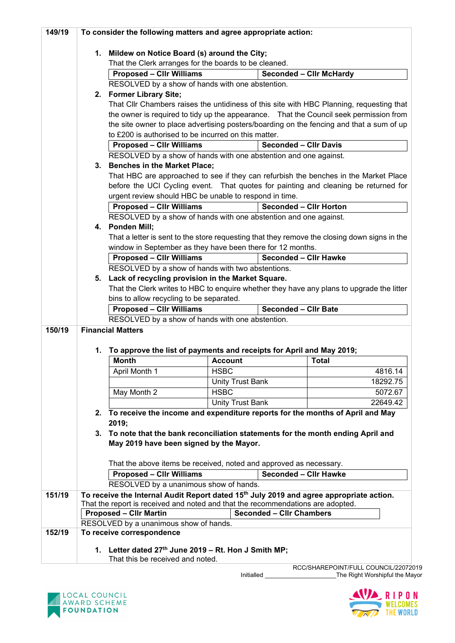| 149/19 | To consider the following matters and agree appropriate action:                                                                       |                                                                                                                                                                                            |                         |                                 |                                                                                              |
|--------|---------------------------------------------------------------------------------------------------------------------------------------|--------------------------------------------------------------------------------------------------------------------------------------------------------------------------------------------|-------------------------|---------------------------------|----------------------------------------------------------------------------------------------|
|        |                                                                                                                                       |                                                                                                                                                                                            |                         |                                 |                                                                                              |
|        |                                                                                                                                       | 1. Mildew on Notice Board (s) around the City;                                                                                                                                             |                         |                                 |                                                                                              |
|        |                                                                                                                                       | That the Clerk arranges for the boards to be cleaned.                                                                                                                                      |                         |                                 |                                                                                              |
|        |                                                                                                                                       | <b>Proposed - Cllr Williams</b>                                                                                                                                                            |                         |                                 | <b>Seconded - Cllr McHardy</b>                                                               |
|        |                                                                                                                                       | RESOLVED by a show of hands with one abstention.                                                                                                                                           |                         |                                 |                                                                                              |
|        |                                                                                                                                       | 2. Former Library Site;                                                                                                                                                                    |                         |                                 |                                                                                              |
|        |                                                                                                                                       |                                                                                                                                                                                            |                         |                                 | That Cllr Chambers raises the untidiness of this site with HBC Planning, requesting that     |
|        |                                                                                                                                       |                                                                                                                                                                                            |                         |                                 | the owner is required to tidy up the appearance. That the Council seek permission from       |
|        |                                                                                                                                       |                                                                                                                                                                                            |                         |                                 | the site owner to place advertising posters/boarding on the fencing and that a sum of up     |
|        |                                                                                                                                       | to £200 is authorised to be incurred on this matter.                                                                                                                                       |                         | <b>Seconded - Cllr Davis</b>    |                                                                                              |
|        |                                                                                                                                       | <b>Proposed - Cllr Williams</b>                                                                                                                                                            |                         |                                 |                                                                                              |
|        |                                                                                                                                       | RESOLVED by a show of hands with one abstention and one against.                                                                                                                           |                         |                                 |                                                                                              |
|        |                                                                                                                                       | 3. Benches in the Market Place;                                                                                                                                                            |                         |                                 |                                                                                              |
|        |                                                                                                                                       |                                                                                                                                                                                            |                         |                                 | That HBC are approached to see if they can refurbish the benches in the Market Place         |
|        |                                                                                                                                       |                                                                                                                                                                                            |                         |                                 | before the UCI Cycling event. That quotes for painting and cleaning be returned for          |
|        |                                                                                                                                       | urgent review should HBC be unable to respond in time.                                                                                                                                     |                         | <b>Seconded - Cllr Horton</b>   |                                                                                              |
|        |                                                                                                                                       | <b>Proposed - Cllr Williams</b>                                                                                                                                                            |                         |                                 |                                                                                              |
|        |                                                                                                                                       | RESOLVED by a show of hands with one abstention and one against.                                                                                                                           |                         |                                 |                                                                                              |
|        |                                                                                                                                       | 4. Ponden Mill;                                                                                                                                                                            |                         |                                 |                                                                                              |
|        |                                                                                                                                       |                                                                                                                                                                                            |                         |                                 | That a letter is sent to the store requesting that they remove the closing down signs in the |
|        |                                                                                                                                       | window in September as they have been there for 12 months.                                                                                                                                 |                         |                                 |                                                                                              |
|        |                                                                                                                                       | <b>Proposed - Cllr Williams</b>                                                                                                                                                            |                         | <b>Seconded - Cllr Hawke</b>    |                                                                                              |
|        |                                                                                                                                       | RESOLVED by a show of hands with two abstentions.                                                                                                                                          |                         |                                 |                                                                                              |
|        |                                                                                                                                       | 5. Lack of recycling provision in the Market Square.                                                                                                                                       |                         |                                 |                                                                                              |
|        |                                                                                                                                       |                                                                                                                                                                                            |                         |                                 | That the Clerk writes to HBC to enquire whether they have any plans to upgrade the litter    |
|        |                                                                                                                                       | bins to allow recycling to be separated.<br><b>Seconded - Cllr Bate</b><br><b>Proposed - Cllr Williams</b><br>RESOLVED by a show of hands with one abstention.<br><b>Financial Matters</b> |                         |                                 |                                                                                              |
|        |                                                                                                                                       |                                                                                                                                                                                            |                         |                                 |                                                                                              |
| 150/19 |                                                                                                                                       |                                                                                                                                                                                            |                         |                                 |                                                                                              |
|        |                                                                                                                                       |                                                                                                                                                                                            |                         |                                 |                                                                                              |
|        | 1.                                                                                                                                    | To approve the list of payments and receipts for April and May 2019;                                                                                                                       |                         |                                 |                                                                                              |
|        |                                                                                                                                       | <b>Month</b>                                                                                                                                                                               | <b>Account</b>          |                                 | <b>Total</b>                                                                                 |
|        |                                                                                                                                       | April Month 1                                                                                                                                                                              | <b>HSBC</b>             |                                 | 4816.14                                                                                      |
|        |                                                                                                                                       |                                                                                                                                                                                            |                         |                                 |                                                                                              |
|        |                                                                                                                                       |                                                                                                                                                                                            | <b>Unity Trust Bank</b> |                                 | 18292.75                                                                                     |
|        |                                                                                                                                       | May Month 2                                                                                                                                                                                | <b>HSBC</b>             |                                 | 5072.67                                                                                      |
|        |                                                                                                                                       |                                                                                                                                                                                            | <b>Unity Trust Bank</b> |                                 | 22649.42                                                                                     |
|        |                                                                                                                                       | 2. To receive the income and expenditure reports for the months of April and May                                                                                                           |                         |                                 |                                                                                              |
|        |                                                                                                                                       | 2019;                                                                                                                                                                                      |                         |                                 |                                                                                              |
|        |                                                                                                                                       | 3. To note that the bank reconciliation statements for the month ending April and                                                                                                          |                         |                                 |                                                                                              |
|        |                                                                                                                                       | May 2019 have been signed by the Mayor.                                                                                                                                                    |                         |                                 |                                                                                              |
|        |                                                                                                                                       |                                                                                                                                                                                            |                         |                                 |                                                                                              |
|        | That the above items be received, noted and approved as necessary.<br><b>Seconded - Cllr Hawke</b><br><b>Proposed - Cllr Williams</b> |                                                                                                                                                                                            |                         |                                 |                                                                                              |
|        |                                                                                                                                       | RESOLVED by a unanimous show of hands.                                                                                                                                                     |                         |                                 |                                                                                              |
| 151/19 |                                                                                                                                       | To receive the Internal Audit Report dated 15 <sup>th</sup> July 2019 and agree appropriate action.                                                                                        |                         |                                 |                                                                                              |
|        |                                                                                                                                       | That the report is received and noted and that the recommendations are adopted.                                                                                                            |                         |                                 |                                                                                              |
|        |                                                                                                                                       | <b>Proposed - Cllr Martin</b>                                                                                                                                                              |                         | <b>Seconded - Cllr Chambers</b> |                                                                                              |
|        | RESOLVED by a unanimous show of hands.                                                                                                |                                                                                                                                                                                            |                         |                                 |                                                                                              |
| 152/19 |                                                                                                                                       | To receive correspondence                                                                                                                                                                  |                         |                                 |                                                                                              |
|        |                                                                                                                                       |                                                                                                                                                                                            |                         |                                 |                                                                                              |
|        | 1.                                                                                                                                    | Letter dated $27th$ June 2019 – Rt. Hon J Smith MP;                                                                                                                                        |                         |                                 |                                                                                              |
|        |                                                                                                                                       | That this be received and noted.                                                                                                                                                           |                         |                                 | RCC/SHAREPOINT/FULL COUNCIL/22072019                                                         |

Initialled \_\_\_\_\_\_\_\_\_\_\_\_\_\_\_\_\_\_\_\_\_The Right Worshipful the Mayor



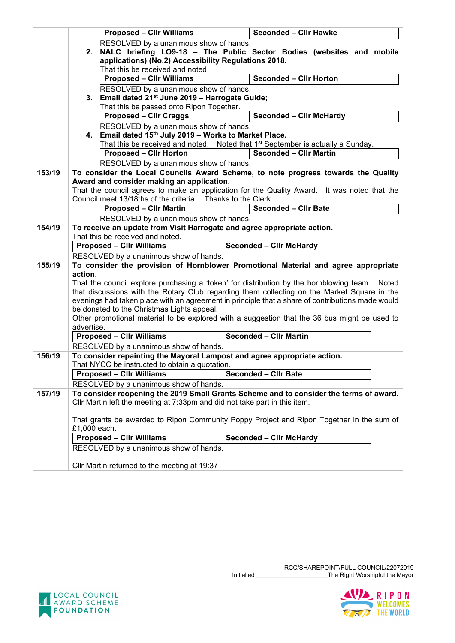|        | <b>Proposed - Cllr Williams</b>                                                          | <b>Seconded - Cllr Hawke</b>                                                                     |  |  |  |
|--------|------------------------------------------------------------------------------------------|--------------------------------------------------------------------------------------------------|--|--|--|
|        | RESOLVED by a unanimous show of hands.                                                   |                                                                                                  |  |  |  |
|        | 2.                                                                                       | NALC briefing LO9-18 - The Public Sector Bodies (websites and mobile                             |  |  |  |
|        | applications) (No.2) Accessibility Regulations 2018.                                     |                                                                                                  |  |  |  |
|        | That this be received and noted                                                          |                                                                                                  |  |  |  |
|        | <b>Proposed - CIIr Williams</b><br><b>Seconded - Cllr Horton</b>                         |                                                                                                  |  |  |  |
|        |                                                                                          |                                                                                                  |  |  |  |
|        | RESOLVED by a unanimous show of hands.                                                   |                                                                                                  |  |  |  |
|        | 3. Email dated 21 <sup>st</sup> June 2019 - Harrogate Guide;                             |                                                                                                  |  |  |  |
|        | That this be passed onto Ripon Together.                                                 |                                                                                                  |  |  |  |
|        | <b>Proposed - Cllr Craggs</b>                                                            | <b>Seconded - Cllr McHardy</b>                                                                   |  |  |  |
|        | RESOLVED by a unanimous show of hands.                                                   |                                                                                                  |  |  |  |
|        | 4. Email dated 15th July 2019 - Works to Market Place.                                   |                                                                                                  |  |  |  |
|        |                                                                                          | That this be received and noted. Noted that 1 <sup>st</sup> September is actually a Sunday.      |  |  |  |
|        | <b>Proposed - Cllr Horton</b>                                                            | <b>Seconded - Cllr Martin</b>                                                                    |  |  |  |
|        |                                                                                          |                                                                                                  |  |  |  |
|        | RESOLVED by a unanimous show of hands.                                                   |                                                                                                  |  |  |  |
| 153/19 |                                                                                          | To consider the Local Councils Award Scheme, to note progress towards the Quality                |  |  |  |
|        | Award and consider making an application.                                                |                                                                                                  |  |  |  |
|        |                                                                                          | That the council agrees to make an application for the Quality Award. It was noted that the      |  |  |  |
|        | Council meet 13/18ths of the criteria. Thanks to the Clerk.                              |                                                                                                  |  |  |  |
|        | <b>Proposed - Cllr Martin</b>                                                            | <b>Seconded - Cllr Bate</b>                                                                      |  |  |  |
|        | RESOLVED by a unanimous show of hands.                                                   |                                                                                                  |  |  |  |
| 154/19 | To receive an update from Visit Harrogate and agree appropriate action.                  |                                                                                                  |  |  |  |
|        | That this be received and noted.                                                         |                                                                                                  |  |  |  |
|        | <b>Seconded - Clir McHardy</b><br><b>Proposed - Cllr Williams</b>                        |                                                                                                  |  |  |  |
|        | RESOLVED by a unanimous show of hands.                                                   |                                                                                                  |  |  |  |
|        |                                                                                          |                                                                                                  |  |  |  |
| 155/19 | action.                                                                                  | To consider the provision of Hornblower Promotional Material and agree appropriate               |  |  |  |
|        |                                                                                          |                                                                                                  |  |  |  |
|        |                                                                                          | That the council explore purchasing a 'token' for distribution by the hornblowing team. Noted    |  |  |  |
|        |                                                                                          | that discussions with the Rotary Club regarding them collecting on the Market Square in the      |  |  |  |
|        |                                                                                          | evenings had taken place with an agreement in principle that a share of contributions made would |  |  |  |
|        | be donated to the Christmas Lights appeal.                                               |                                                                                                  |  |  |  |
|        |                                                                                          | Other promotional material to be explored with a suggestion that the 36 bus might be used to     |  |  |  |
|        | advertise.                                                                               |                                                                                                  |  |  |  |
|        | <b>Proposed - Cllr Williams</b>                                                          | <b>Seconded - Cllr Martin</b>                                                                    |  |  |  |
|        | RESOLVED by a unanimous show of hands.                                                   |                                                                                                  |  |  |  |
| 156/19 | To consider repainting the Mayoral Lampost and agree appropriate action.                 |                                                                                                  |  |  |  |
|        | That NYCC be instructed to obtain a quotation.                                           |                                                                                                  |  |  |  |
|        | <b>Proposed - Cllr Williams</b>                                                          | <b>Seconded - Cllr Bate</b>                                                                      |  |  |  |
|        | RESOLVED by a unanimous show of hands.                                                   |                                                                                                  |  |  |  |
| 157/19 |                                                                                          |                                                                                                  |  |  |  |
|        | To consider reopening the 2019 Small Grants Scheme and to consider the terms of award.   |                                                                                                  |  |  |  |
|        | Cllr Martin left the meeting at 7:33pm and did not take part in this item.               |                                                                                                  |  |  |  |
|        |                                                                                          |                                                                                                  |  |  |  |
|        | That grants be awarded to Ripon Community Poppy Project and Ripon Together in the sum of |                                                                                                  |  |  |  |
|        | £1,000 each.                                                                             |                                                                                                  |  |  |  |
|        | <b>Proposed - Cllr Williams</b>                                                          | <b>Seconded - Cllr McHardy</b>                                                                   |  |  |  |
|        | RESOLVED by a unanimous show of hands.                                                   |                                                                                                  |  |  |  |
|        |                                                                                          |                                                                                                  |  |  |  |
|        | Cllr Martin returned to the meeting at 19:37                                             |                                                                                                  |  |  |  |



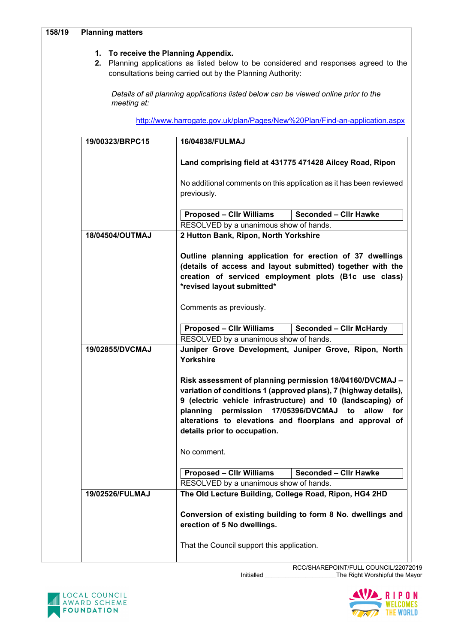| 158/19 | <b>Planning matters</b>                                                                                                                                                                                                                                                                                                                                                         |                                                                                                                                                                                                                                                                                                                                                      |  |  |
|--------|---------------------------------------------------------------------------------------------------------------------------------------------------------------------------------------------------------------------------------------------------------------------------------------------------------------------------------------------------------------------------------|------------------------------------------------------------------------------------------------------------------------------------------------------------------------------------------------------------------------------------------------------------------------------------------------------------------------------------------------------|--|--|
|        | 1. To receive the Planning Appendix.<br>2. Planning applications as listed below to be considered and responses agreed to the<br>consultations being carried out by the Planning Authority:<br>Details of all planning applications listed below can be viewed online prior to the<br>meeting at:<br>http://www.harrogate.gov.uk/plan/Pages/New%20Plan/Find-an-application.aspx |                                                                                                                                                                                                                                                                                                                                                      |  |  |
|        |                                                                                                                                                                                                                                                                                                                                                                                 |                                                                                                                                                                                                                                                                                                                                                      |  |  |
|        |                                                                                                                                                                                                                                                                                                                                                                                 |                                                                                                                                                                                                                                                                                                                                                      |  |  |
|        | 19/00323/BRPC15                                                                                                                                                                                                                                                                                                                                                                 | 16/04838/FULMAJ                                                                                                                                                                                                                                                                                                                                      |  |  |
|        |                                                                                                                                                                                                                                                                                                                                                                                 | Land comprising field at 431775 471428 Ailcey Road, Ripon                                                                                                                                                                                                                                                                                            |  |  |
|        |                                                                                                                                                                                                                                                                                                                                                                                 | No additional comments on this application as it has been reviewed<br>previously.                                                                                                                                                                                                                                                                    |  |  |
|        |                                                                                                                                                                                                                                                                                                                                                                                 | <b>Proposed - Cllr Williams</b><br><b>Seconded - Cllr Hawke</b>                                                                                                                                                                                                                                                                                      |  |  |
|        |                                                                                                                                                                                                                                                                                                                                                                                 | RESOLVED by a unanimous show of hands.                                                                                                                                                                                                                                                                                                               |  |  |
|        | 18/04504/OUTMAJ                                                                                                                                                                                                                                                                                                                                                                 | 2 Hutton Bank, Ripon, North Yorkshire                                                                                                                                                                                                                                                                                                                |  |  |
|        |                                                                                                                                                                                                                                                                                                                                                                                 | Outline planning application for erection of 37 dwellings<br>(details of access and layout submitted) together with the<br>creation of serviced employment plots (B1c use class)<br>*revised layout submitted*<br>Comments as previously.                                                                                                            |  |  |
|        |                                                                                                                                                                                                                                                                                                                                                                                 | <b>Proposed - CIIr Williams</b><br><b>Seconded - Cllr McHardy</b>                                                                                                                                                                                                                                                                                    |  |  |
|        | 19/02855/DVCMAJ                                                                                                                                                                                                                                                                                                                                                                 | RESOLVED by a unanimous show of hands.<br>Juniper Grove Development, Juniper Grove, Ripon, North<br>Yorkshire                                                                                                                                                                                                                                        |  |  |
|        |                                                                                                                                                                                                                                                                                                                                                                                 | Risk assessment of planning permission 18/04160/DVCMAJ -<br>variation of conditions 1 (approved plans), 7 (highway details),<br>9 (electric vehicle infrastructure) and 10 (landscaping) of<br>planning<br>permission 17/05396/DVCMAJ to<br>allow<br>for<br>alterations to elevations and floorplans and approval of<br>details prior to occupation. |  |  |
|        |                                                                                                                                                                                                                                                                                                                                                                                 | No comment.                                                                                                                                                                                                                                                                                                                                          |  |  |
|        |                                                                                                                                                                                                                                                                                                                                                                                 | <b>Seconded - Cllr Hawke</b><br><b>Proposed - Cllr Williams</b>                                                                                                                                                                                                                                                                                      |  |  |
|        |                                                                                                                                                                                                                                                                                                                                                                                 | RESOLVED by a unanimous show of hands.                                                                                                                                                                                                                                                                                                               |  |  |
|        | 19/02526/FULMAJ                                                                                                                                                                                                                                                                                                                                                                 | The Old Lecture Building, College Road, Ripon, HG4 2HD                                                                                                                                                                                                                                                                                               |  |  |
|        |                                                                                                                                                                                                                                                                                                                                                                                 | Conversion of existing building to form 8 No. dwellings and<br>erection of 5 No dwellings.                                                                                                                                                                                                                                                           |  |  |
|        |                                                                                                                                                                                                                                                                                                                                                                                 | That the Council support this application.                                                                                                                                                                                                                                                                                                           |  |  |



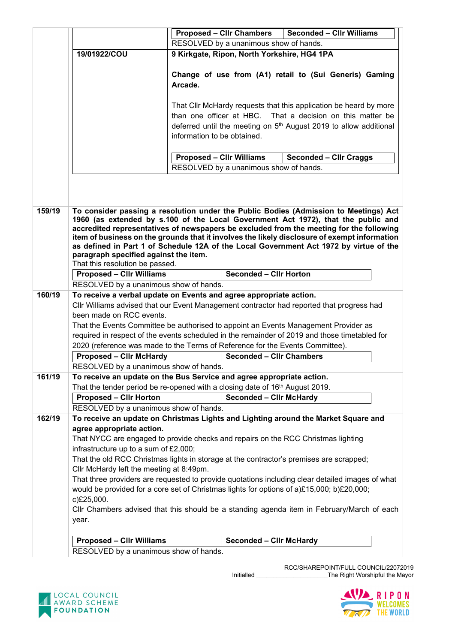|        |                                                                                                  | <b>Proposed - Cllr Chambers</b><br><b>Seconded - Cllr Williams</b> |                                                                  |                                                                                                                                                                                        |  |  |
|--------|--------------------------------------------------------------------------------------------------|--------------------------------------------------------------------|------------------------------------------------------------------|----------------------------------------------------------------------------------------------------------------------------------------------------------------------------------------|--|--|
|        |                                                                                                  | RESOLVED by a unanimous show of hands.                             |                                                                  |                                                                                                                                                                                        |  |  |
|        | 19/01922/COU                                                                                     | 9 Kirkgate, Ripon, North Yorkshire, HG4 1PA                        |                                                                  |                                                                                                                                                                                        |  |  |
|        |                                                                                                  |                                                                    |                                                                  |                                                                                                                                                                                        |  |  |
|        |                                                                                                  |                                                                    |                                                                  | Change of use from (A1) retail to (Sui Generis) Gaming                                                                                                                                 |  |  |
|        |                                                                                                  | Arcade.                                                            |                                                                  |                                                                                                                                                                                        |  |  |
|        |                                                                                                  |                                                                    |                                                                  |                                                                                                                                                                                        |  |  |
|        |                                                                                                  |                                                                    |                                                                  | That Cllr McHardy requests that this application be heard by more                                                                                                                      |  |  |
|        |                                                                                                  | than one officer at HBC.                                           |                                                                  | That a decision on this matter be                                                                                                                                                      |  |  |
|        |                                                                                                  |                                                                    |                                                                  | deferred until the meeting on 5 <sup>th</sup> August 2019 to allow additional                                                                                                          |  |  |
|        |                                                                                                  |                                                                    | information to be obtained.                                      |                                                                                                                                                                                        |  |  |
|        |                                                                                                  |                                                                    |                                                                  |                                                                                                                                                                                        |  |  |
|        |                                                                                                  |                                                                    | <b>Proposed - CIIr Williams</b><br><b>Seconded - Cllr Craggs</b> |                                                                                                                                                                                        |  |  |
|        |                                                                                                  |                                                                    | RESOLVED by a unanimous show of hands.                           |                                                                                                                                                                                        |  |  |
|        |                                                                                                  |                                                                    |                                                                  |                                                                                                                                                                                        |  |  |
|        |                                                                                                  |                                                                    |                                                                  |                                                                                                                                                                                        |  |  |
|        |                                                                                                  |                                                                    |                                                                  |                                                                                                                                                                                        |  |  |
| 159/19 |                                                                                                  |                                                                    |                                                                  | To consider passing a resolution under the Public Bodies (Admission to Meetings) Act                                                                                                   |  |  |
|        |                                                                                                  |                                                                    |                                                                  | 1960 (as extended by s.100 of the Local Government Act 1972), that the public and                                                                                                      |  |  |
|        |                                                                                                  |                                                                    |                                                                  | accredited representatives of newspapers be excluded from the meeting for the following                                                                                                |  |  |
|        |                                                                                                  |                                                                    |                                                                  | item of business on the grounds that it involves the likely disclosure of exempt information<br>as defined in Part 1 of Schedule 12A of the Local Government Act 1972 by virtue of the |  |  |
|        | paragraph specified against the item.                                                            |                                                                    |                                                                  |                                                                                                                                                                                        |  |  |
|        | That this resolution be passed.                                                                  |                                                                    |                                                                  |                                                                                                                                                                                        |  |  |
|        | <b>Proposed - Cllr Williams</b>                                                                  |                                                                    | <b>Seconded - Cllr Horton</b>                                    |                                                                                                                                                                                        |  |  |
|        | RESOLVED by a unanimous show of hands.                                                           |                                                                    |                                                                  |                                                                                                                                                                                        |  |  |
| 160/19 | To receive a verbal update on Events and agree appropriate action.                               |                                                                    |                                                                  |                                                                                                                                                                                        |  |  |
|        |                                                                                                  |                                                                    |                                                                  | Cllr Williams advised that our Event Management contractor had reported that progress had                                                                                              |  |  |
|        | been made on RCC events.                                                                         |                                                                    |                                                                  |                                                                                                                                                                                        |  |  |
|        |                                                                                                  |                                                                    |                                                                  | That the Events Committee be authorised to appoint an Events Management Provider as                                                                                                    |  |  |
|        |                                                                                                  |                                                                    |                                                                  | required in respect of the events scheduled in the remainder of 2019 and those timetabled for                                                                                          |  |  |
|        | 2020 (reference was made to the Terms of Reference for the Events Committee).                    |                                                                    |                                                                  |                                                                                                                                                                                        |  |  |
|        | <b>Proposed - Clir McHardy</b>                                                                   |                                                                    | <b>Seconded - Cllr Chambers</b>                                  |                                                                                                                                                                                        |  |  |
|        | RESOLVED by a unanimous show of hands.                                                           |                                                                    |                                                                  |                                                                                                                                                                                        |  |  |
| 161/19 | To receive an update on the Bus Service and agree appropriate action.                            |                                                                    |                                                                  |                                                                                                                                                                                        |  |  |
|        | That the tender period be re-opened with a closing date of 16 <sup>th</sup> August 2019.         |                                                                    |                                                                  |                                                                                                                                                                                        |  |  |
|        | <b>Proposed - Cllr Horton</b>                                                                    |                                                                    | <b>Seconded - Clir McHardy</b>                                   |                                                                                                                                                                                        |  |  |
|        | RESOLVED by a unanimous show of hands.                                                           |                                                                    |                                                                  |                                                                                                                                                                                        |  |  |
| 162/19 |                                                                                                  |                                                                    |                                                                  | To receive an update on Christmas Lights and Lighting around the Market Square and                                                                                                     |  |  |
|        | agree appropriate action.                                                                        |                                                                    |                                                                  |                                                                                                                                                                                        |  |  |
|        | That NYCC are engaged to provide checks and repairs on the RCC Christmas lighting                |                                                                    |                                                                  |                                                                                                                                                                                        |  |  |
|        | infrastructure up to a sum of £2,000;                                                            |                                                                    |                                                                  |                                                                                                                                                                                        |  |  |
|        | That the old RCC Christmas lights in storage at the contractor's premises are scrapped;          |                                                                    |                                                                  |                                                                                                                                                                                        |  |  |
|        | Cllr McHardy left the meeting at 8:49pm.                                                         |                                                                    |                                                                  |                                                                                                                                                                                        |  |  |
|        | That three providers are requested to provide quotations including clear detailed images of what |                                                                    |                                                                  |                                                                                                                                                                                        |  |  |
|        | would be provided for a core set of Christmas lights for options of a)£15,000; b)£20,000;        |                                                                    |                                                                  |                                                                                                                                                                                        |  |  |
|        | c)£25,000.                                                                                       |                                                                    |                                                                  |                                                                                                                                                                                        |  |  |
|        | Cllr Chambers advised that this should be a standing agenda item in February/March of each       |                                                                    |                                                                  |                                                                                                                                                                                        |  |  |
|        | year.                                                                                            |                                                                    |                                                                  |                                                                                                                                                                                        |  |  |
|        |                                                                                                  |                                                                    |                                                                  |                                                                                                                                                                                        |  |  |
|        |                                                                                                  |                                                                    |                                                                  |                                                                                                                                                                                        |  |  |
|        | <b>Proposed - Cllr Williams</b><br>RESOLVED by a unanimous show of hands.                        |                                                                    | <b>Seconded - Clir McHardy</b>                                   |                                                                                                                                                                                        |  |  |

Initialled \_\_\_\_\_\_\_\_\_\_\_\_\_\_\_\_\_\_\_\_\_The Right Worshipful the Mayor



RCC/SHAREPOINT/FULL COUNCIL/22072019